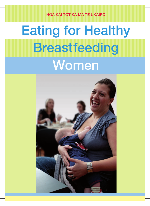NGÀ KAI TOTIKA MÀ TE ÙKAIPÒ

# **Breastfeeding Women** Eating for Healthy

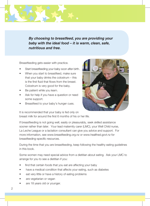*By choosing to breastfeed, you are providing your baby with the ideal food – it is warm, clean, safe, nutritious and free.*

Breastfeeding gets easier with practice.

- Start breastfeeding your baby soon after birth.
- When you start to breastfeed, make sure that your baby drinks the colostrum – this is the first fluid that flows from the breast. Colostrum is very good for the baby.
- Be patient while you learn.
- Ask for help if you have a question or need some support.
- Breastfeed to your baby's hunger cues.



It is recommended that your baby is fed only on breast milk for around the first 6 months of his or her life.

If breastfeeding is not going well, easily or pleasurably, seek skilled assistance sooner rather than later. Your lead maternity carer (LMC), your Well Child nurse, La Leche League or a lactation consultant can give you advice and support. For more information, see www.breastfeeding.org.nz or www.healthed.govt.nz for breastfeeding-specific resources.

During the time that you are breastfeeding, keep following the healthy eating guidelines in this book.

Some women may need special advice from a dietitian about eating. Ask your LMC to arrange for you to see a dietitian if you:

- find that certain foods that you eat are affecting your baby
- have a medical condition that affects your eating, such as diabetes
- eat very little or have a history of eating problems
- are vegetarian or vegan
- are 18 years old or younger.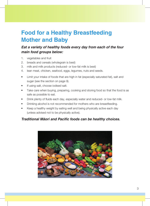# **Food for a Healthy Breastfeeding Mother and Baby**

### *Eat a variety of healthy foods every day from each of the four main food groups below:*

- 1. vegetables and fruit
- 2. breads and cereals (wholegrain is best)
- 3. milk and milk products (reduced- or low-fat milk is best)
- 4. lean meat, chicken, seafood, eggs, legumes, nuts and seeds.
- Limit your intake of foods that are high in fat (especially saturated fat), salt and sugar (see the section on page 9).
- If using salt, choose iodised salt.
- Take care when buying, preparing, cooking and storing food so that the food is as safe as possible to eat.
- Drink plenty of fluids each day, especially water and reduced- or low-fat milk.
- Drinking alcohol is not recommended for mothers who are breastfeeding.
- Keep a healthy weight by eating well and being physically active each day (unless advised not to be physically active).

#### *Traditional Maori and Pacific foods can be healthy choices.*

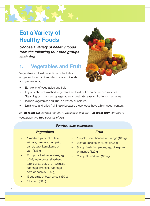### **Eat a Variety of Healthy Foods**

*Choose a variety of healthy foods from the following four food groups each day.*

### **1. Vegetables and Fruit**

Vegetables and fruit provide carbohydrates (sugar and starch), fibre, vitamins and minerals and are low in fat.



- Eat plenty of vegetables and fruit.
- Enjoy fresh, well-washed vegetables and fruit or frozen or canned varieties. Steaming or microwaving vegetables is best. Go easy on butter or margarine.
- Include vegetables and fruit in a variety of colours.
- Limit juice and dried fruit intake because these foods have a high sugar content.

*Eat at least six servings per day of vegetables and fruit – at least four servings of vegetables and two servings of fruit.*

#### *Serving size examples*

#### *Vegetables*

- 1 medium piece of potato, kùmara, cassava, pumpkin, carrot, taro, kamokamo or yam (135 g)
- $\frac{1}{2}$  cup cooked vegetables, eg, pùhà, watercress, silverbeet, taro leaves, bok choy, Chinese cabbage, broccoli, cabbage, corn or peas (50–80 g)
- $\frac{1}{2}$  cup salad or bean sprouts (60 g)
- 1 tomato  $(80 g)$

#### *Fruit*

- 1 apple, pear, banana or orange (130 g)
- 2 small apricots or plums (100 g)
- $\frac{1}{2}$  cup fresh fruit pieces, eq. pineapple or mango (120 g)
- $\frac{1}{2}$  cup stewed fruit (135 g)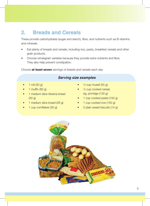### **2. Breads and Cereals**

These provide carbohydrates (sugar and starch), fibre, and nutrients such as B vitamins and minerals.

- Eat plenty of breads and cereals, including rice, pasta, breakfast cereals and other grain products.
- Choose wholegrain varieties because they provide extra nutrients and fibre. They also help prevent constipation.

*Choose at least seven servings of breads and cereals each day.* 

#### *Serving size examples*

- 1 roll (50 g)
- $1$  muffin (80 g)
- 1 medium slice rèwena bread (30 g)
- 1 medium slice bread (26 g)
- 1 cup cornflakes (30 g)
- $\frac{1}{2}$  cup muesli (55 g)
- $1/2$  cup cooked cereal. eg, porridge (130 g)
- 1 cup cooked pasta (150 g)
- 1 cup cooked rice (150 g)
- 2 plain sweet biscuits (14 g)

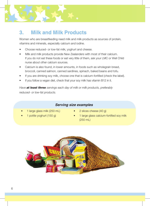### **3. Milk and Milk Products**

Women who are breastfeeding need milk and milk products as sources of protein, vitamins and minerals, especially calcium and iodine.

- Choose reduced- or low-fat milk, yoghurt and cheese.
- Milk and milk products provide New Zealanders with most of their calcium. If you do not eat these foods or eat very little of them, ask your LMC or Well Child nurse about other calcium sources.
- Calcium is also found, in lower amounts, in foods such as wholegrain bread, broccoli, canned salmon, canned sardines, spinach, baked beans and tofu.
- If you are drinking soy milk, choose one that is calcium-fortified (check the label).
- If you follow a vegan diet, check that your soy milk has vitamin B12 in it.

*Have at least three servings each day of milk or milk products, preferably reduced- or low-fat products.*

#### *Serving size examples*

- 1 large glass milk (250 mL)
- 1 pottle yoghurt (150 g)
- 2 slices cheese (40 g)
- 1 large glass calcium-fortified soy milk (250 mL)

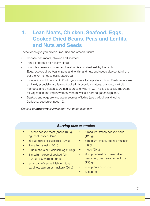### **4. Lean Meats, Chicken, Seafood, Eggs, Cooked Dried Beans, Peas and Lentils, and Nuts and Seeds**

These foods give you protein, iron, zinc and other nutrients.

- Choose lean meats, chicken and seafood.
- Iron is important for healthy blood.
- Iron in lean meats, chicken and seafood is absorbed well by the body. Eggs, cooked dried beans, peas and lentils, and nuts and seeds also contain iron, but the iron is not as easily absorbed.
- Include foods rich in vitamin C with your meals to help absorb iron. Fresh vegetables and fruit, especially taro leaves (cooked), broccoli, tomatoes, oranges, kiwifruit, mangoes and pineapple, are rich sources of vitamin C. This is especially important for vegetarian and vegan women, who may find it hard to get enough iron.
- Seafood and eggs are also useful sources of iodine (see the Iodine and Iodine Deficiency section on page 12).

*Choose at least two servings from this group each day.*

#### *Serving size examples*

- 2 slices cooked meat (about 100 g), eg, beef, pork or lamb
- <sup>3/4</sup> cup mince or casserole (195 g)
- 1 medium steak (120 g)
- 2 drumsticks or 1 chicken leg (110 g)
- 1 medium piece of cooked fish (100 g), eg, warehou or eel
- small can of canned fish, eg, tuna, sardines, salmon or mackerel (90 g)
- 1 medium, freshly cooked pāua (120 g)
- 8 medium, freshly cooked mussels (80 g)
- $\bullet$  1 egg (50 g)
- <sup>3/4</sup> cup canned or cooked dried beans, eg, bean salad or lentil dish (135 g)
- $\bullet$   $\frac{1}{3}$  cup nuts or seeds
- $\frac{3}{4}$  cup tofu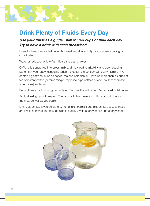### **Drink Plenty of Fluids Every Day**

#### *Use your thirst as a guide. Aim for ten cups of fluid each day. Try to have a drink with each breastfeed.*

Extra fluid may be needed during hot weather, after activity, or if you are vomiting or constipated.

Water or reduced- or low-fat milk are the best choices.

Caffeine is transferred into breast milk and may lead to irritability and poor sleeping patterns in your baby, especially when the caffeine is consumed heavily. Limit drinks containing caffeine, such as coffee, tea and cola drinks. Have no more than six cups of tea or instant coffee (or three 'single' espresso-type coffees or one 'double' espressotype coffee) each day.

Be cautious about drinking herbal teas. Discuss this with your LMC or Well Child nurse.

Avoid drinking tea with meals. The tannins in tea mean you will not absorb the iron in the meal as well as you could.

Limit soft drinks, flavoured waters, fruit drinks, cordials and diet drinks because these are low in nutrients and may be high in sugar. Avoid energy drinks and energy shots.

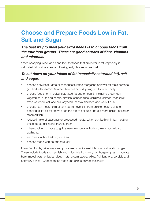### **Choose and Prepare Foods Low in Fat, Salt and Sugar**

#### *The best way to meet your extra needs is to choose foods from the four food groups. These are good sources of fi bre, vitamins and minerals.*

When shopping, read labels and look for foods that are lower in fat (especially in saturated fat), salt and sugar. If using salt, choose iodised salt.

### *To cut down on your intake of fat (especially saturated fat), salt and sugar:*

- choose polyunsaturated or monounsaturated margarine or lower fat table spreads (fortified with vitamin D) rather than butter or dripping, and spread thinly
- choose foods rich in polyunsaturated fat and omega-3, including green leafy vegetables, nuts and seeds, oily fish (canned tuna, sardines, salmon, mackerel; fresh warehou, eel) and oils (soybean, canola, flaxseed and walnut oils)
- choose lean meats; trim off any fat, remove skin from chicken before or after cooking, skim fat off stews or off the top of boil-ups and eat more grilled, boiled or steamed fish
- reduce intake of sausages or processed meats, which can be high in fat; if eating these foods, grill rather than fry them
- when cooking, choose to grill, steam, microwave, boil or bake foods, without adding fat
- eat meals without adding extra salt
- choose foods with no added sugar.

Many fast foods, takeaways and processed snacks are high in fat, salt and/or sugar. These include foods such as fish and chips, fried chicken, hamburgers, pies, chocolate bars, muesli bars, chippies, doughnuts, cream cakes, lollies, fruit leathers, cordials and soft/fizzy drinks. Choose these foods and drinks only occasionally.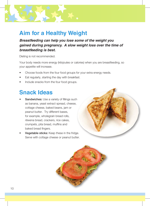### **Aim for a Healthy Weight**

*Breastfeeding can help you lose some of the weight you gained during pregnancy. A slow weight loss over the time of breastfeeding is best.* 

Dieting is not recommended.

Your body needs more energy (kilojoules or calories) when you are breastfeeding, so your appetite will increase.

- Choose foods from the four food groups for your extra energy needs.
- Eat regularly, starting the day with breakfast.
- Include snacks from the four food groups.

### **Snack Ideas**

- Sandwiches: Use a variety of fillings such as banana, yeast extract spread, cheese, cottage cheese, baked beans, jam or peanut butter. Try different bases, for example, wholegrain bread rolls, rèwena bread, crackers, rice cakes, crumpets, pita bread, muffins and baked bread fingers.
- Vegetable sticks: Keep these in the fridge. **Vegetable sticks:** Keep these in the fridge.<br>Serve with cottage cheese or peanut butter.



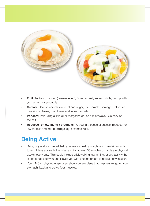

- **Fruit:** Try fresh, canned (unsweetened), frozen or fruit, served whole, cut up with yoghurt or in a smoothie.
- Cereals: Choose cereals low in fat and sugar, for example, porridge, untoasted muesli, cornflakes, bran flakes and wheat biscuits.
- **Popcorn:** Pop using a little oil or margarine or use a microwave. Go easy on the salt.
- Reduced- or low-fat milk products: Try yoghurt, cubes of cheese, reduced- or low-fat milk and milk puddings (eg, creamed rice).

# **Being Active**

- Being physically active will help you keep a healthy weight and maintain muscle tone. Unless advised otherwise, aim for at least 30 minutes of moderate physical activity every day. This could include brisk walking, swimming, or any activity that is comfortable for you and leaves you with enough breath to hold a conversation.
- Your LMC or physiotherapist can show you exercises that help re-strengthen your stomach, back and pelvic floor muscles.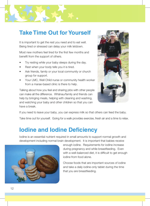### **Take Time Out for Yourself**

It is important to get the rest you need and to eat well. Being tired or stressed can delay your milk letdown.

Most new mothers feel tired for the first few months and benefit from the support of others.

- Try resting while your baby sleeps during the day.
- Rest when your body tells you it is tired.
- Ask friends, family or your local community or church group for support.
- Your LMC, Well Child nurse or community health worker from a marae-based clinic is there to help.

Talking about how you feel and sharing jobs with other people can make all the difference. Whànau/family and friends can help by bringing meals, helping with cleaning and washing. and watching your baby and other children so that you can have a break.



If you need to leave your baby, you can express milk so that others can feed the baby.

Take time out for yourself. Going for a walk provides exercise, fresh air and a time to relax.

### **Iodine and Iodine Deficiency**

Iodine is an essential nutrient required in small amounts to support normal growth and development including normal brain development. It is important that babies receive



enough iodine. Requirements for iodine increase during pregnancy and while breastfeeding. Even with a well-balanced diet, it is difficult to get enough iodine from food alone.

Choose foods that are important sources of iodine and take a daily iodine-only tablet during the time that you are breastfeeding.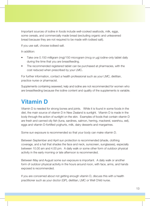Important sources of iodine in foods include well-cooked seafoods, milk, eggs, some cereals, and commercially made bread (excluding organic and unleavened bread because they are not required to be made with iodised salt).

If you use salt, choose iodised salt.

In addition:

- Take one 0.150 milligram (mg)/150 microgram (mcg or μg) iodine-only tablet daily during the time that you are breastfeeding.
- The recommended registered tablet can be purchased at pharmacies, with the cost reduced when prescribed by your LMC.

For further information, contact a health professional such as your LMC, dietitian, practice nurse or pharmacist.

Supplements containing seaweed, kelp and iodine are not recommended for women who are breastfeeding because the iodine content and quality of the supplements is variable.

### **Vitamin D**

Vitamin D is needed for strong bones and joints. While it is found in some foods in the diet, the main source of vitamin D in New Zealand is sunlight. Vitamin D is made in the body through the action of sunlight on the skin. Examples of foods that contain vitamin D are fresh and canned oily fish (tuna, sardines, salmon, herring, mackerel, warehou, eel), eggs and vitamin D-fortified yoghurts, milk, dairy desserts and margarines.

Some sun exposure is recommended so that your body can make vitamin D.

Between September and April sun protection is recommended (shade, clothing coverage, and a hat that shades the face and neck, sunscreen, sunglasses), especially between 10.00 am and 4.00 pm. A daily walk or some other form of outdoor physical activity in the early morning or late afternoon is recommended.

Between May and August some sun exposure is important. A daily walk or another form of outdoor physical activity in the hours around noon, with face, arms, and hands exposed is recommended.

If you are concerned about not getting enough vitamin D, discuss this with a health practitioner such as your doctor (GP), dietitian, LMC or Well Child nurse.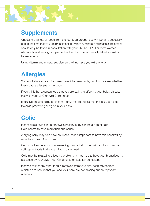### **Supplements**

Choosing a variety of foods from the four food groups is very important, especially during the time that you are breastfeeding. Vitamin, mineral and health supplements should only be taken in consultation with your LMC or GP. For most women who are breastfeeding, supplements other than the iodine-only tablet should not be necessary.

Using vitamin and mineral supplements will not give you extra energy.

# **Allergies**

Some substances from food may pass into breast milk, but it is not clear whether these cause allergies in the baby.

If you think that a certain food that you are eating is affecting your baby, discuss this with your LMC or Well Child nurse.

Exclusive breastfeeding (breast milk only) for around six months is a good step towards preventing allergies in your baby.

# **Colic**

Inconsolable crying in an otherwise healthy baby can be a sign of colic. Colic seems to have more than one cause.

A crying baby may also have an illness, so it is important to have this checked by a doctor or Well Child nurse.

Cutting out some foods you are eating may not stop the colic, and you may be cutting out foods that you and your baby need.

Colic may be related to a feeding problem. It may help to have your breastfeeding assessed by your LMC, Well Child nurse or lactation consultant.

If cow's milk or any other food is removed from your diet, seek advice from a dietitian to ensure that you and your baby are not missing out on important nutrients.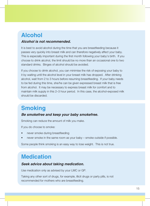# **Alcohol**

#### *Alcohol is not recommended.*

It is best to avoid alcohol during the time that you are breastfeeding because it passes very quickly into breast milk and can therefore negatively affect your baby. This is especially important during the first month following your baby's birth. If you choose to drink alcohol, the limit should be no more than an occasional one to two standard drinks. Binges of alcohol should be avoided.

If you choose to drink alcohol, you can minimise the risk of exposing your baby to it by waiting until the alcohol level in your breast milk has dropped. After drinking alcohol, wait from 2 to 3 hours before resuming breastfeeding. If your baby needs to be fed during this time, she/he can be given expressed breast milk that is free from alcohol. It may be necessary to express breast milk for comfort and to maintain milk supply in this 2–3 hour period. In this case, the alcohol-exposed milk should be discarded.

# **Smoking**

#### *Be smokefree and keep your baby smokefree.*

Smoking can reduce the amount of milk you make.

If you do choose to smoke:

- never smoke during breastfeeding
- never smoke in the same room as your baby smoke outside if possible.

Some people think smoking is an easy way to lose weight. This is not true.

# **Medication**

#### *Seek advice about taking medication.*

Use medication only as advised by your LMC or GP.

Taking any other sort of drugs, for example, illicit drugs or party pills, is not recommended for mothers who are breastfeeding.